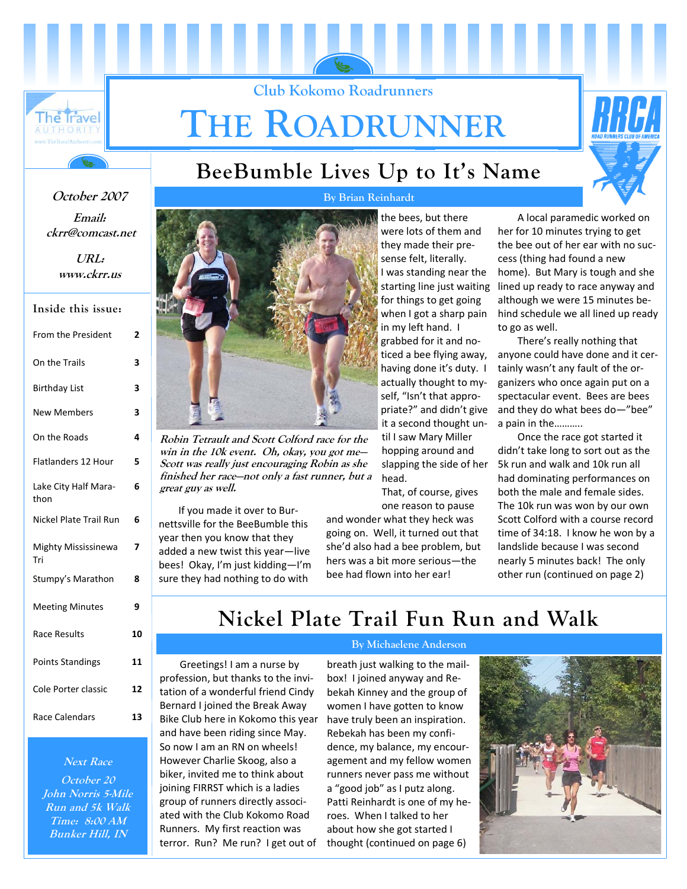

# **THE ROADRUNNER**

**Club Kokomo Roadrunners** 



### **BeeBumble Lives Up to It's Name**

**Email: ckrr@comcast.net October 2007** 

> **URL: www.ckrr.us**

| From the President           | 2  |
|------------------------------|----|
| On the Trails                | 3  |
| Birthday List                | 3  |
| <b>New Members</b>           | 3  |
| On the Roads                 | 4  |
| Flatlanders 12 Hour          | 5  |
| Lake City Half Mara-<br>thon | 6  |
| Nickel Plate Trail Run       | 6  |
| Mighty Mississinewa<br>Tri   | 7  |
| Stumpy's Marathon            | 8  |
| <b>Meeting Minutes</b>       | 9  |
| Race Results                 | 10 |
| <b>Points Standings</b>      | 11 |
| Cole Porter classic          | 12 |
| Race Calendars               | 13 |

#### **Next Race**

**October 20 John Norris 5-Mile Run and 5k Walk Time: 8:00 AM Bunker Hill, IN** 



**Robin Tetrault and Scott Colford race for the win in the 10k event. Oh, okay, you got me— Scott was really just encouraging Robin as she finished her race—not only a fast runner, but a great guy as well.** 

If you made it over to Bur‐ nettsville for the BeeBumble this year then you know that they added a new twist this year—live bees! Okay, I'm just kidding—I'm sure they had nothing to do with

**By Brian Reinhardt** 

the bees, but there were lots of them and they made their pre‐ sense felt, literally. I was standing near the starting line just waiting for things to get going when I got a sharp pain in my left hand. I grabbed for it and no‐ ticed a bee flying away, having done it's duty. I actually thought to my‐ self, "Isn't that appro‐ priate?" and didn't give it a second thought un‐ til I saw Mary Miller hopping around and slapping the side of her head.

That, of course, gives one reason to pause

and wonder what they heck was going on. Well, it turned out that she'd also had a bee problem, but hers was a bit more serious—the bee had flown into her ear!

A local paramedic worked on her for 10 minutes trying to get the bee out of her ear with no suc‐ cess (thing had found a new home). But Mary is tough and she lined up ready to race anyway and although we were 15 minutes be‐ hind schedule we all lined up ready to go as well.

There's really nothing that anyone could have done and it cer‐ tainly wasn't any fault of the or‐ ganizers who once again put on a spectacular event. Bees are bees and they do what bees do—"bee" a pain in the………..

Once the race got started it didn't take long to sort out as the 5k run and walk and 10k run all had dominating performances on both the male and female sides. The 10k run was won by our own Scott Colford with a course record time of 34:18. I know he won by a landslide because I was second nearly 5 minutes back! The only other run (continued on page 2)

**Nickel Plate Trail Fun Run and Walk** 

Greetings! I am a nurse by profession, but thanks to the invi‐ tation of a wonderful friend Cindy Bernard I joined the Break Away Bike Club here in Kokomo this year and have been riding since May. So now I am an RN on wheels! However Charlie Skoog, also a biker, invited me to think about joining FIRRST which is a ladies group of runners directly associ‐ ated with the Club Kokomo Road Runners. My first reaction was terror. Run? Me run? I get out of

#### **By Michaelene Anderson**

breath just walking to the mail‐ box! I joined anyway and Re‐ bekah Kinney and the group of women I have gotten to know have truly been an inspiration. Rebekah has been my confi‐ dence, my balance, my encour‐ agement and my fellow women runners never pass me without a "good job" as I putz along. Patti Reinhardt is one of my he‐ roes. When I talked to her about how she got started I thought (continued on page 6)

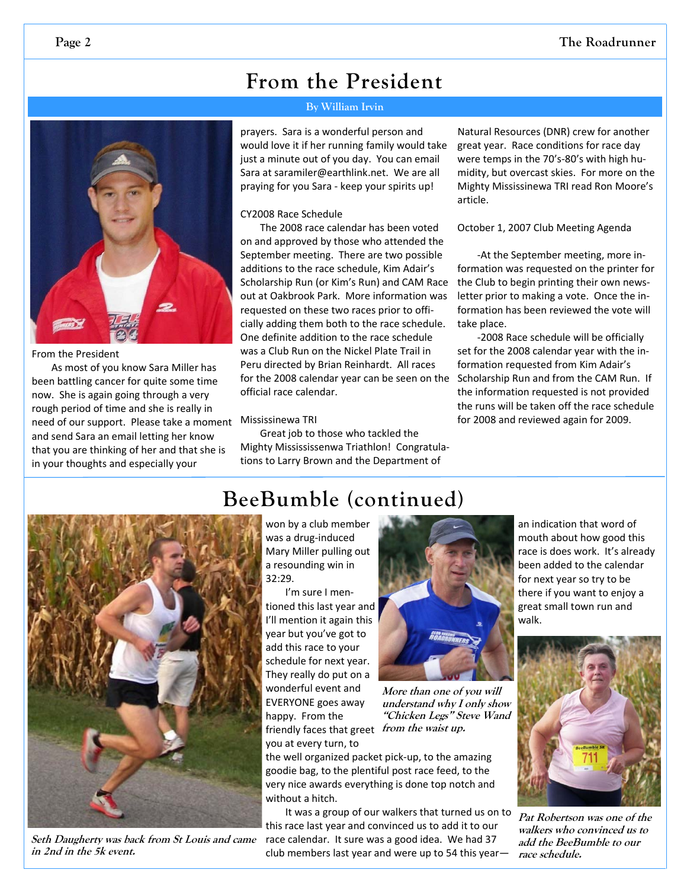### **From the President**

#### **By William Irvin**

prayers. Sara is a wonderful person and would love it if her running family would take just a minute out of you day. You can email Sara at saramiler@earthlink.net. We are all praying for you Sara ‐ keep your spirits up!

#### CY2008 Race Schedule

The 2008 race calendar has been voted on and approved by those who attended the September meeting. There are two possible additions to the race schedule, Kim Adair's Scholarship Run (or Kim's Run) and CAM Race out at Oakbrook Park. More information was requested on these two races prior to offi‐ cially adding them both to the race schedule. One definite addition to the race schedule was a Club Run on the Nickel Plate Trail in Peru directed by Brian Reinhardt. All races for the 2008 calendar year can be seen on the official race calendar.

#### Mississinewa TRI

Great job to those who tackled the Mighty Missississenwa Triathlon! Congratula‐ tions to Larry Brown and the Department of

Natural Resources (DNR) crew for another great year. Race conditions for race day were temps in the 70's-80's with high humidity, but overcast skies. For more on the Mighty Mississinewa TRI read Ron Moore's article.

October 1, 2007 Club Meeting Agenda

‐At the September meeting, more in‐ formation was requested on the printer for the Club to begin printing their own news‐ letter prior to making a vote. Once the in‐ formation has been reviewed the vote will take place.

‐2008 Race schedule will be officially set for the 2008 calendar year with the in‐ formation requested from Kim Adair's Scholarship Run and from the CAM Run. If the information requested is not provided the runs will be taken off the race schedule for 2008 and reviewed again for 2009.



**Seth Daugherty was back from St Louis and came in 2nd in the 5k event.** 

**BeeBumble (continued)** 

won by a club member was a drug‐induced Mary Miller pulling out a resounding win in 32:29.

I'm sure I men‐ tioned this last year and I'll mention it again this year but you've got to add this race to your schedule for next year. They really do put on a wonderful event and EVERYONE goes away happy. From the friendly faces that greet *from the waist up.* you at every turn, to



**More than one of you will understand why I only show "Chicken Legs" Steve Wand** 

the well organized packet pick‐up, to the amazing goodie bag, to the plentiful post race feed, to the very nice awards everything is done top notch and without a hitch.

It was a group of our walkers that turned us on to this race last year and convinced us to add it to our race calendar. It sure was a good idea. We had 37 club members last year and were up to 54 this year—

an indication that word of mouth about how good this race is does work. It's already been added to the calendar for next year so try to be there if you want to enjoy a great small town run and walk.



**Pat Robertson was one of the walkers who convinced us to add the BeeBumble to our race schedule.** 

From the President

As most of you know Sara Miller has been battling cancer for quite some time now. She is again going through a very rough period of time and she is really in need of our support. Please take a moment and send Sara an email letting her know that you are thinking of her and that she is in your thoughts and especially your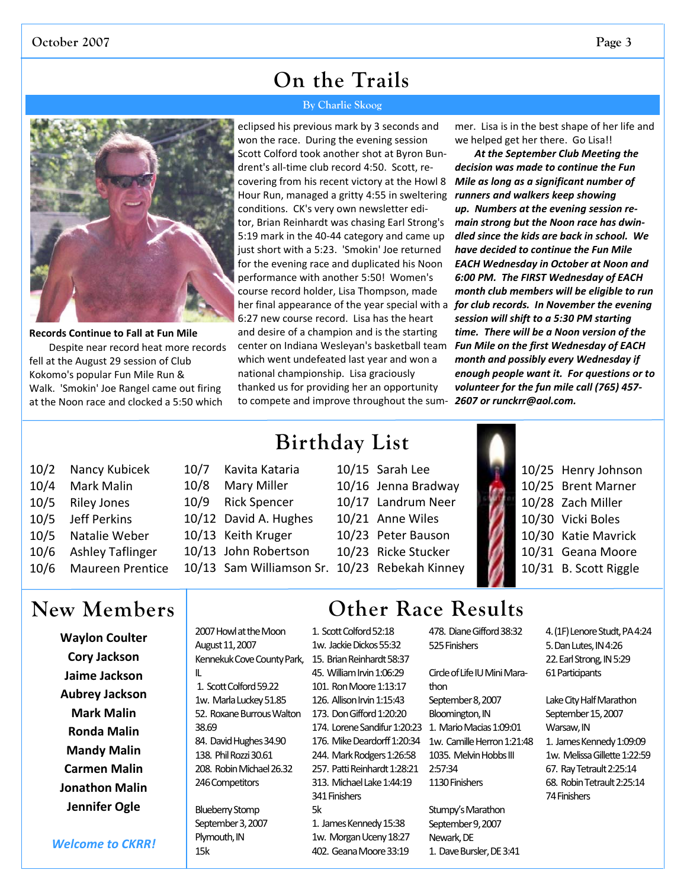### **On the Trails**

#### **By Charlie Skoog**

**Records Continue to Fall at Fun Mile** Despite near record heat more records fell at the August 29 session of Club Kokomo's popular Fun Mile Run & Walk. 'Smokin' Joe Rangel came out firing at the Noon race and clocked a 5:50 which

*for club records. In November the evening* her final appearance of the year special with a eclipsed his previous mark by 3 seconds and won the race. During the evening session Scott Colford took another shot at Byron Bun‐ drent's all‐time club record 4:50. Scott, re‐ covering from his recent victory at the Howl 8 Hour Run, managed a gritty 4:55 in sweltering conditions. CK's very own newsletter edi‐ tor, Brian Reinhardt was chasing Earl Strong's 5:19 mark in the 40-44 category and came up just short with a 5:23. 'Smokin' Joe returned for the evening race and duplicated his Noon performance with another 5:50! Women's course record holder, Lisa Thompson, made 6:27 new course record. Lisa has the heart and desire of a champion and is the starting center on Indiana Wesleyan's basketball team which went undefeated last year and won a national championship. Lisa graciously thanked us for providing her an opportunity to compete and improve throughout the sum‐

mer. Lisa is in the best shape of her life and we helped get her there. Go Lisa!!

*At the September Club Meeting the decision was made to continue the Fun Mile as long as a significant number of runners and walkers keep showing up. Numbers at the evening session re‐ main strong but the Noon race has dwin‐ dled since the kids are back in school. We have decided to continue the Fun Mile EACH Wednesday in October at Noon and 6:00 PM. The FIRST Wednesday of EACH month club members will be eligible to run session will shift to a 5:30 PM starting time. There will be a Noon version of the Fun Mile on the first Wednesday of EACH month and possibly every Wednesday if enough people want it. For questions or to volunteer for the fun mile call (765) 457‐ 2607 or runckrr@aol.com.*

| 10/2 | Nancy Kubicek           |
|------|-------------------------|
| 10/4 | Mark Malin              |
| 10/5 | <b>Riley Jones</b>      |
| 10/5 | <b>Jeff Perkins</b>     |
| 10/5 | Natalie Weber           |
| 10/6 | <b>Ashley Taflinger</b> |
| 10/6 | Maureen Prentice        |

### **New Members**

**Waylon Coulter Cory Jackson Jaime Jackson Aubrey Jackson Mark Malin Ronda Malin Mandy Malin Carmen Malin Jonathon Malin Jennifer Ogle**

*Welcome to CKRR!*

**Birthday List** 

- 10/7 Kavita Kataria 10/8 Mary Miller 10/9 Rick Spencer 10/12 David A. Hughes 10/13 Keith Kruger
- 10/13 John Robertson

2007 Howl at the Moon August 11, 2007

1. Scott Colford 59.22 1w. Marla Luckey 51.85 52. Roxane Burrous Walton

84. David Hughes 34.90 138. Phil Rozzi 30.61 208. Robin Michael 26.32 246 Competitors

**Blueberry Stomp** September 3, 2007 Plymouth, IN 15k

IL

38.69

10/15 Sarah Lee 10/16 Jenna Bradway 10/17 Landrum Neer 10/21 Anne Wiles 10/23 Peter Bauson 10/23 Ricke Stucker 10/13 Sam Williamson Sr. 10/23 Rebekah Kinney



10/25 Henry Johnson 10/25 Brent Marner 10/28 Zach Miller 10/30 Vicki Boles 10/30 Katie Mavrick 10/31 Geana Moore 10/31 B. Scott Riggle

## **Other Race Results**

- Kennekuk Cove County Park, 15. Brian Reinhardt 58:37 1. Scott Colford 52:18 1w. Jackie Dickos 55:32 45. William Irvin 1:06:29 101. Ron Moore 1:13:17 126. Allison Irvin 1:15:43 173. Don Gifford 1:20:20 176. Mike Deardorff 1:20:34 244. Mark Rodgers 1:26:58 257. Patti Reinhardt 1:28:21 313. Michael Lake 1:44:19 341Finishers 5k
	- 1. James Kennedy 15:38 1w. Morgan Uceny 18:27 402. Geana Moore 33:19

478. Diane Gifford 38:32 525Finishers

174. Lorene Sandifur 1:20:23 1. Mario Macias 1:09:01 Circle of Life IU Mini Marathon September 8, 2007 Bloomington, IN 1w. Camille Herron 1:21:48 1035. Melvin Hobbs III 2:57:34

> Stumpy's Marathon September 9, 2007 Newark, DE 1. Dave Bursler, DE 3:41

1130 Finishers

- 4. (1F) Lenore Studt, PA4:24 5.DanLutes,IN4:26 22. Earl Strong, IN 5:29 61Participants
- Lake City Half Marathon September 15, 2007 Warsaw, IN 1. James Kennedy 1:09:09 1w. Melissa Gillette 1:22:59 67. Ray Tetrault 2:25:14 68. Robin Tetrault 2:25:14 74Finishers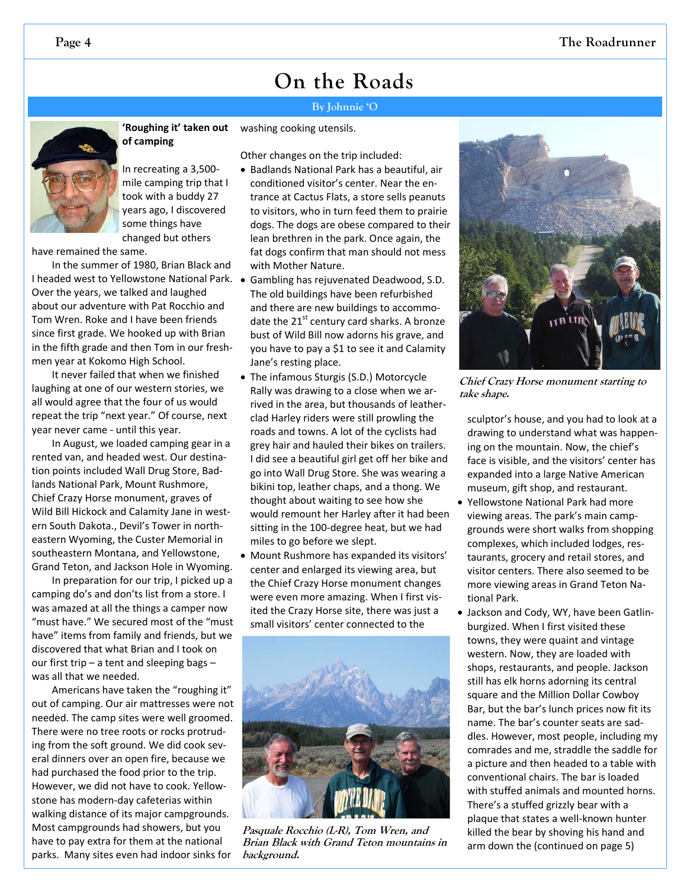#### **By Johnnie 'O**



**'Roughing it' taken out of camping**  washing cooking utensils.

In recreating a 3,500‐ mile camping trip that I took with a buddy 27 years ago, I discovered some things have changed but others

have remained the same.

In the summer of 1980, Brian Black and I headed west to Yellowstone National Park. Over the years, we talked and laughed about our adventure with Pat Rocchio and Tom Wren. Roke and I have been friends since first grade. We hooked up with Brian in the fifth grade and then Tom in our fresh‐ men year at Kokomo High School.

It never failed that when we finished laughing at one of our western stories, we all would agree that the four of us would repeat the trip "next year." Of course, next year never came ‐ until this year.

In August, we loaded camping gear in a rented van, and headed west. Our destina‐ tion points included Wall Drug Store, Bad‐ lands National Park, Mount Rushmore, Chief Crazy Horse monument, graves of Wild Bill Hickock and Calamity Jane in western South Dakota., Devil's Tower in north‐ eastern Wyoming, the Custer Memorial in southeastern Montana, and Yellowstone, Grand Teton, and Jackson Hole in Wyoming.

In preparation for our trip, I picked up a camping do's and don'ts list from a store. I was amazed at all the things a camper now "must have." We secured most of the "must have" items from family and friends, but we discovered that what Brian and I took on our first trip – a tent and sleeping bags – was all that we needed.

Americans have taken the "roughing it" out of camping. Our air mattresses were not needed. The camp sites were well groomed. There were no tree roots or rocks protrud‐ ing from the soft ground. We did cook several dinners over an open fire, because we had purchased the food prior to the trip. However, we did not have to cook. Yellow‐ stone has modern‐day cafeterias within walking distance of its major campgrounds. Most campgrounds had showers, but you have to pay extra for them at the national parks. Many sites even had indoor sinks for

Other changes on the trip included: • Badlands National Park has a beautiful, air

- conditioned visitor's center. Near the en‐ trance at Cactus Flats, a store sells peanuts to visitors, who in turn feed them to prairie dogs. The dogs are obese compared to their lean brethren in the park. Once again, the fat dogs confirm that man should not mess with Mother Nature.
- Gambling has rejuvenated Deadwood, S.D. The old buildings have been refurbished and there are new buildings to accommo‐ date the  $21^{st}$  century card sharks. A bronze bust of Wild Bill now adorns his grave, and you have to pay a \$1 to see it and Calamity Jane's resting place.
- The infamous Sturgis (S.D.) Motorcycle Rally was drawing to a close when we ar‐ rived in the area, but thousands of leather‐ clad Harley riders were still prowling the roads and towns. A lot of the cyclists had grey hair and hauled their bikes on trailers. I did see a beautiful girl get off her bike and go into Wall Drug Store. She was wearing a bikini top, leather chaps, and a thong. We thought about waiting to see how she would remount her Harley after it had been sitting in the 100‐degree heat, but we had miles to go before we slept.
- Mount Rushmore has expanded its visitors' center and enlarged its viewing area, but the Chief Crazy Horse monument changes were even more amazing. When I first visited the Crazy Horse site, there was just a small visitors' center connected to the



**Pasquale Rocchio (L-R), Tom Wren, and Brian Black with Grand Teton mountains in background.** 



**Chief Crazy Horse monument starting to take shape.** 

sculptor's house, and you had to look at a drawing to understand what was happen‐ ing on the mountain. Now, the chief's face is visible, and the visitors' center has expanded into a large Native American museum, gift shop, and restaurant.

- Yellowstone National Park had more viewing areas. The park's main camp‐ grounds were short walks from shopping complexes, which included lodges, res‐ taurants, grocery and retail stores, and visitor centers. There also seemed to be more viewing areas in Grand Teton Na‐ tional Park.
- Jackson and Cody, WY, have been Gatlin‐ burgized. When I first visited these towns, they were quaint and vintage western. Now, they are loaded with shops, restaurants, and people. Jackson still has elk horns adorning its central square and the Million Dollar Cowboy Bar, but the bar's lunch prices now fit its name. The bar's counter seats are sad‐ dles. However, most people, including my comrades and me, straddle the saddle for a picture and then headed to a table with conventional chairs. The bar is loaded with stuffed animals and mounted horns. There's a stuffed grizzly bear with a plaque that states a well‐known hunter killed the bear by shoving his hand and arm down the (continued on page 5)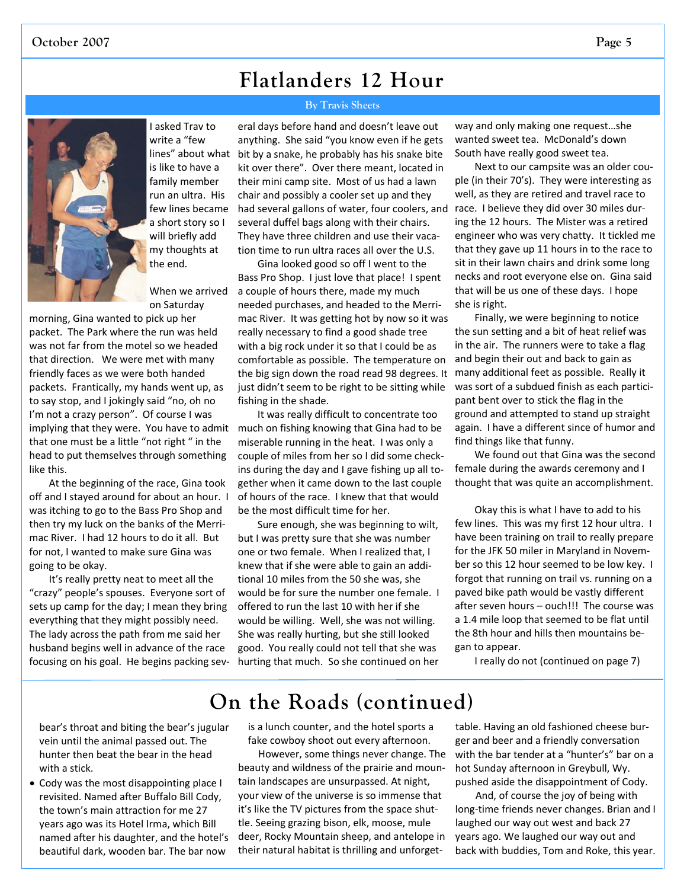### **Flatlanders 12 Hour**

#### **By Travis Sheets**



I asked Trav to write a "few lines" about what is like to have a family member run an ultra. His few lines became a short story so I will briefly add my thoughts at the end.

When we arrived on Saturday

morning, Gina wanted to pick up her packet. The Park where the run was held was not far from the motel so we headed that direction. We were met with many friendly faces as we were both handed packets. Frantically, my hands went up, as to say stop, and I jokingly said "no, oh no I'm not a crazy person". Of course I was implying that they were. You have to admit that one must be a little "not right " in the head to put themselves through something like this.

At the beginning of the race, Gina took off and I stayed around for about an hour. I was itching to go to the Bass Pro Shop and then try my luck on the banks of the Merri‐ mac River. I had 12 hours to do it all. But for not, I wanted to make sure Gina was going to be okay.

It's really pretty neat to meet all the "crazy" people's spouses. Everyone sort of sets up camp for the day; I mean they bring everything that they might possibly need. The lady across the path from me said her husband begins well in advance of the race focusing on his goal. He begins packing sev‐

eral days before hand and doesn't leave out anything. She said "you know even if he gets bit by a snake, he probably has his snake bite kit over there". Over there meant, located in their mini camp site. Most of us had a lawn chair and possibly a cooler set up and they had several gallons of water, four coolers, and several duffel bags along with their chairs. They have three children and use their vaca‐ tion time to run ultra races all over the U.S.

Gina looked good so off I went to the Bass Pro Shop. I just love that place! I spent a couple of hours there, made my much needed purchases, and headed to the Merri‐ mac River. It was getting hot by now so it was really necessary to find a good shade tree with a big rock under it so that I could be as comfortable as possible. The temperature on the big sign down the road read 98 degrees. It just didn't seem to be right to be sitting while fishing in the shade.

It was really difficult to concentrate too much on fishing knowing that Gina had to be miserable running in the heat. I was only a couple of miles from her so I did some check‐ ins during the day and I gave fishing up all to‐ gether when it came down to the last couple of hours of the race. I knew that that would be the most difficult time for her.

Sure enough, she was beginning to wilt, but I was pretty sure that she was number one or two female. When I realized that, I knew that if she were able to gain an addi‐ tional 10 miles from the 50 she was, she would be for sure the number one female. I offered to run the last 10 with her if she would be willing. Well, she was not willing. She was really hurting, but she still looked good. You really could not tell that she was hurting that much. So she continued on her way and only making one request…she wanted sweet tea. McDonald's down South have really good sweet tea.

Next to our campsite was an older cou‐ ple (in their 70's). They were interesting as well, as they are retired and travel race to race. I believe they did over 30 miles dur‐ ing the 12 hours. The Mister was a retired engineer who was very chatty. It tickled me that they gave up 11 hours in to the race to sit in their lawn chairs and drink some long necks and root everyone else on. Gina said that will be us one of these days. I hope she is right.

Finally, we were beginning to notice the sun setting and a bit of heat relief was in the air. The runners were to take a flag and begin their out and back to gain as many additional feet as possible. Really it was sort of a subdued finish as each participant bent over to stick the flag in the ground and attempted to stand up straight again. I have a different since of humor and find things like that funny.

We found out that Gina was the second female during the awards ceremony and I thought that was quite an accomplishment.

Okay this is what I have to add to his few lines. This was my first 12 hour ultra. I have been training on trail to really prepare for the JFK 50 miler in Maryland in Novem‐ ber so this 12 hour seemed to be low key. I forgot that running on trail vs. running on a paved bike path would be vastly different after seven hours – ouch!!! The course was a 1.4 mile loop that seemed to be flat until the 8th hour and hills then mountains be‐ gan to appear.

I really do not (continued on page 7)

### **On the Roads (continued)**

bear's throat and biting the bear's jugular vein until the animal passed out. The hunter then beat the bear in the head with a stick.

• Cody was the most disappointing place I revisited. Named after Buffalo Bill Cody, the town's main attraction for me 27 years ago was its Hotel Irma, which Bill named after his daughter, and the hotel's beautiful dark, wooden bar. The bar now

is a lunch counter, and the hotel sports a fake cowboy shoot out every afternoon.

However, some things never change. The beauty and wildness of the prairie and moun‐ tain landscapes are unsurpassed. At night, your view of the universe is so immense that it's like the TV pictures from the space shut‐ tle. Seeing grazing bison, elk, moose, mule deer, Rocky Mountain sheep, and antelope in their natural habitat is thrilling and unforget‐

table. Having an old fashioned cheese bur‐ ger and beer and a friendly conversation with the bar tender at a "hunter's" bar on a hot Sunday afternoon in Greybull, Wy. pushed aside the disappointment of Cody.

And, of course the joy of being with long‐time friends never changes. Brian and I laughed our way out west and back 27 years ago. We laughed our way out and back with buddies, Tom and Roke, this year.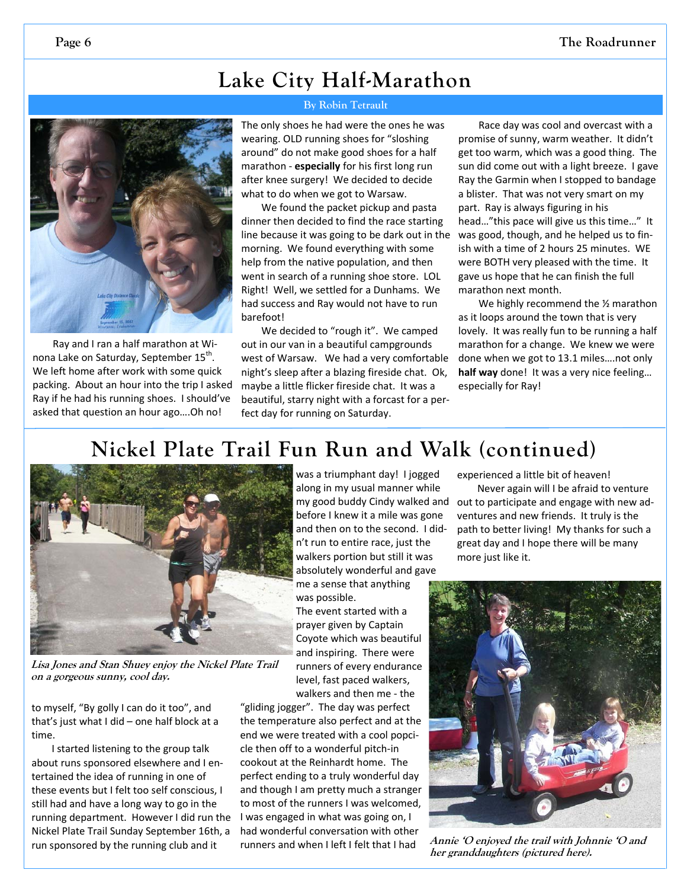## **Lake City Half-Marathon**



Ray and I ran a half marathon at Wi‐ nona Lake on Saturday, September 15<sup>th</sup>. We left home after work with some quick packing. About an hour into the trip I asked Ray if he had his running shoes. I should've asked that question an hour ago….Oh no!

### **By Robin Tetrault**

The only shoes he had were the ones he was wearing. OLD running shoes for "sloshing around" do not make good shoes for a half marathon ‐ **especially** for his first long run after knee surgery! We decided to decide what to do when we got to Warsaw.

We found the packet pickup and pasta dinner then decided to find the race starting line because it was going to be dark out in the morning. We found everything with some help from the native population, and then went in search of a running shoe store. LOL Right! Well, we settled for a Dunhams. We had success and Ray would not have to run barefoot!

We decided to "rough it". We camped out in our van in a beautiful campgrounds west of Warsaw. We had a very comfortable night's sleep after a blazing fireside chat. Ok, maybe a little flicker fireside chat. It was a beautiful, starry night with a forcast for a per‐ fect day for running on Saturday.

Race day was cool and overcast with a promise of sunny, warm weather. It didn't get too warm, which was a good thing. The sun did come out with a light breeze. I gave Ray the Garmin when I stopped to bandage a blister. That was not very smart on my part. Ray is always figuring in his head…"this pace will give us this time…" It was good, though, and he helped us to fin‐ ish with a time of 2 hours 25 minutes. WE were BOTH very pleased with the time. It gave us hope that he can finish the full marathon next month.

We highly recommend the 1/2 marathon as it loops around the town that is very lovely. It was really fun to be running a half marathon for a change. We knew we were done when we got to 13.1 miles….not only **half way** done! It was a very nice feeling… especially for Ray!

### **Nickel Plate Trail Fun Run and Walk (continued)**



**Lisa Jones and Stan Shuey enjoy the Nickel Plate Trail on a gorgeous sunny, cool day.** 

to myself, "By golly I can do it too", and that's just what I did – one half block at a time.

I started listening to the group talk about runs sponsored elsewhere and I en‐ tertained the idea of running in one of these events but I felt too self conscious, I still had and have a long way to go in the running department. However I did run the Nickel Plate Trail Sunday September 16th, a run sponsored by the running club and it

was a triumphant day! I jogged along in my usual manner while before I knew it a mile was gone and then on to the second. I did‐ n't run to entire race, just the walkers portion but still it was absolutely wonderful and gave me a sense that anything

was possible.

The event started with a prayer given by Captain Coyote which was beautiful and inspiring. There were runners of every endurance level, fast paced walkers, walkers and then me ‐ the

"gliding jogger". The day was perfect the temperature also perfect and at the end we were treated with a cool popci‐ cle then off to a wonderful pitch‐in cookout at the Reinhardt home. The perfect ending to a truly wonderful day and though I am pretty much a stranger to most of the runners I was welcomed, I was engaged in what was going on, I had wonderful conversation with other runners and when I left I felt that I had

experienced a little bit of heaven!

Never again will I be afraid to venture my good buddy Cindy walked and out to participate and engage with new adventures and new friends. It truly is the path to better living! My thanks for such a great day and I hope there will be many more just like it.



**Annie 'O enjoyed the trail with Johnnie 'O and her granddaughters (pictured here).**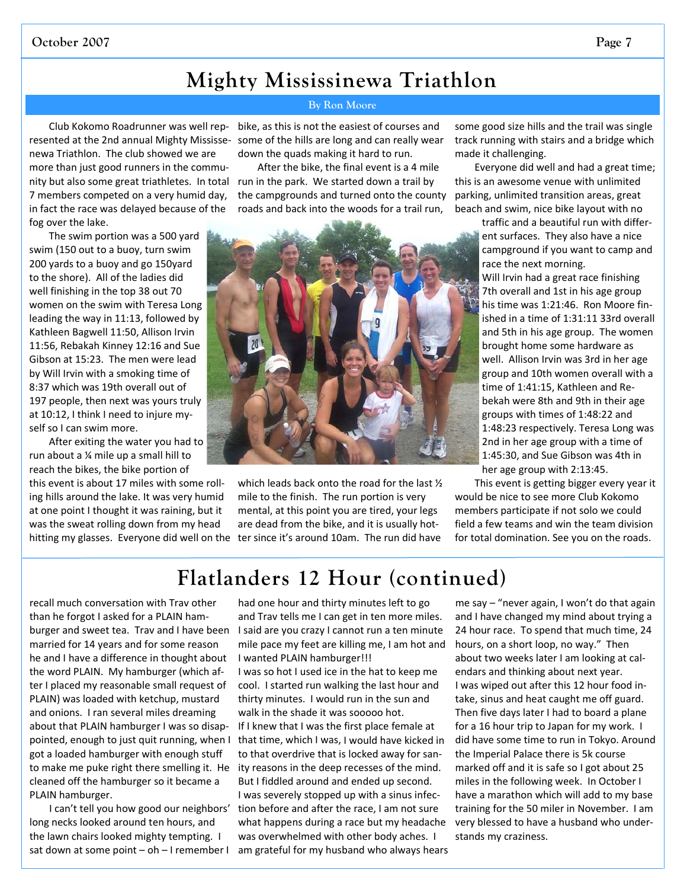#### **October 2007 Page 7**

### **Mighty Mississinewa Triathlon**

Club Kokomo Roadrunner was well rep‐ newa Triathlon. The club showed we are more than just good runners in the community but also some great triathletes. In total run in the park. We started down a trail by 7 members competed on a very humid day, in fact the race was delayed because of the fog over the lake.

The swim portion was a 500 yard swim (150 out to a buoy, turn swim 200 yards to a buoy and go 150yard to the shore). All of the ladies did well finishing in the top 38 out 70 women on the swim with Teresa Long leading the way in 11:13, followed by Kathleen Bagwell 11:50, Allison Irvin 11:56, Rebakah Kinney 12:16 and Sue Gibson at 15:23. The men were lead by Will Irvin with a smoking time of 8:37 which was 19th overall out of 197 people, then next was yours truly at 10:12, I think I need to injure my‐ self so I can swim more.

After exiting the water you had to run about a ¼ mile up a small hill to reach the bikes, the bike portion of

this event is about 17 miles with some roll‐ ing hills around the lake. It was very humid at one point I thought it was raining, but it was the sweat rolling down from my head

**By Ron Moore** 

resented at the 2nd annual Mighty Mississe‐ some of the hills are long and can really wear bike, as this is not the easiest of courses and down the quads making it hard to run.

> After the bike, the final event is a 4 mile the campgrounds and turned onto the county roads and back into the woods for a trail run,



hitting my glasses. Everyone did well on the ter since it's around 10am. The run did have which leads back onto the road for the last ½ mile to the finish. The run portion is very mental, at this point you are tired, your legs are dead from the bike, and it is usually hot‐

some good size hills and the trail was single track running with stairs and a bridge which made it challenging.

Everyone did well and had a great time; this is an awesome venue with unlimited parking, unlimited transition areas, great beach and swim, nice bike layout with no

> traffic and a beautiful run with differ‐ ent surfaces. They also have a nice campground if you want to camp and race the next morning.

> Will Irvin had a great race finishing 7th overall and 1st in his age group his time was 1:21:46. Ron Moore fin‐ ished in a time of 1:31:11 33rd overall and 5th in his age group. The women brought home some hardware as well. Allison Irvin was 3rd in her age group and 10th women overall with a time of 1:41:15, Kathleen and Re‐ bekah were 8th and 9th in their age groups with times of 1:48:22 and 1:48:23 respectively. Teresa Long was 2nd in her age group with a time of 1:45:30, and Sue Gibson was 4th in her age group with 2:13:45.

This event is getting bigger every year it

would be nice to see more Club Kokomo members participate if not solo we could field a few teams and win the team division for total domination. See you on the roads.

### **Flatlanders 12 Hour (continued)**

recall much conversation with Trav other than he forgot I asked for a PLAIN ham‐ burger and sweet tea. Trav and I have been married for 14 years and for some reason he and I have a difference in thought about the word PLAIN. My hamburger (which af‐ ter I placed my reasonable small request of PLAIN) was loaded with ketchup, mustard and onions. I ran several miles dreaming about that PLAIN hamburger I was so disap‐ pointed, enough to just quit running, when I got a loaded hamburger with enough stuff to make me puke right there smelling it. He cleaned off the hamburger so it became a PLAIN hamburger.

I can't tell you how good our neighbors' long necks looked around ten hours, and the lawn chairs looked mighty tempting. I sat down at some point – oh – I remember I

had one hour and thirty minutes left to go and Trav tells me I can get in ten more miles. I said are you crazy I cannot run a ten minute mile pace my feet are killing me, I am hot and I wanted PLAIN hamburger!!!

I was so hot I used ice in the hat to keep me cool. I started run walking the last hour and thirty minutes. I would run in the sun and walk in the shade it was sooooo hot.

If I knew that I was the first place female at that time, which I was, I would have kicked in to that overdrive that is locked away for san‐ ity reasons in the deep recesses of the mind. But I fiddled around and ended up second. I was severely stopped up with a sinus infec‐ tion before and after the race, I am not sure what happens during a race but my headache was overwhelmed with other body aches. I am grateful for my husband who always hears me say – "never again, I won't do that again and I have changed my mind about trying a 24 hour race. To spend that much time, 24 hours, on a short loop, no way." Then about two weeks later I am looking at cal‐ endars and thinking about next year. I was wiped out after this 12 hour food in‐ take, sinus and heat caught me off guard. Then five days later I had to board a plane for a 16 hour trip to Japan for my work. I did have some time to run in Tokyo. Around the Imperial Palace there is 5k course marked off and it is safe so I got about 25 miles in the following week. In October I have a marathon which will add to my base training for the 50 miler in November. I am very blessed to have a husband who under‐ stands my craziness.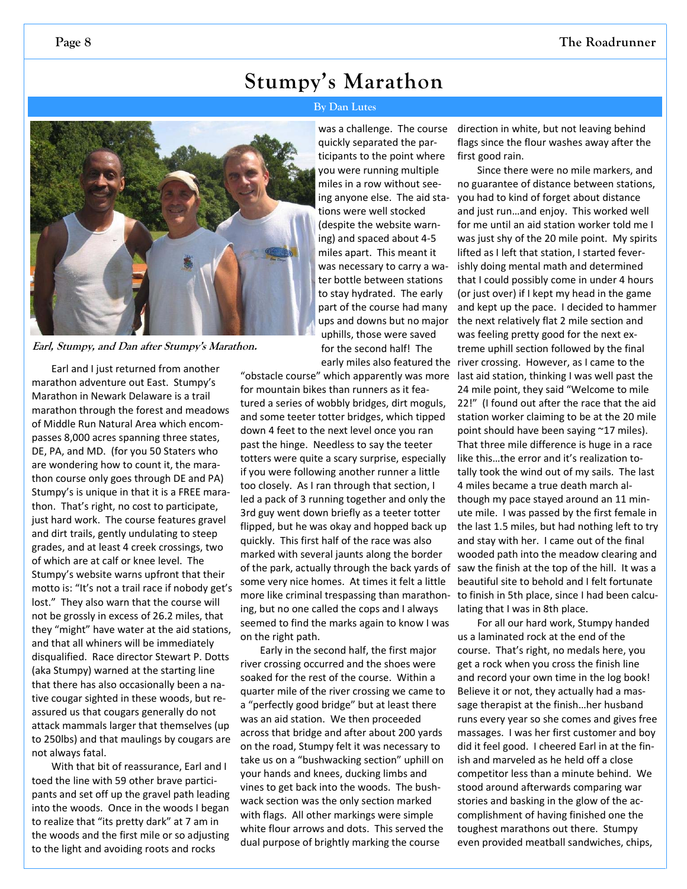### **Stumpy's Marathon**

#### **By Dan Lutes**



**Earl, Stumpy, and Dan after Stumpy's Marathon.** 

Earl and I just returned from another marathon adventure out East. Stumpy's Marathon in Newark Delaware is a trail marathon through the forest and meadows of Middle Run Natural Area which encom‐ passes 8,000 acres spanning three states, DE, PA, and MD. (for you 50 Staters who are wondering how to count it, the mara‐ thon course only goes through DE and PA) Stumpy's is unique in that it is a FREE mara‐ thon. That's right, no cost to participate, just hard work. The course features gravel and dirt trails, gently undulating to steep grades, and at least 4 creek crossings, two of which are at calf or knee level. The Stumpy's website warns upfront that their motto is: "It's not a trail race if nobody get's lost." They also warn that the course will not be grossly in excess of 26.2 miles, that they "might" have water at the aid stations, and that all whiners will be immediately disqualified. Race director Stewart P. Dotts (aka Stumpy) warned at the starting line that there has also occasionally been a na‐ tive cougar sighted in these woods, but re‐ assured us that cougars generally do not attack mammals larger that themselves (up to 250lbs) and that maulings by cougars are not always fatal.

With that bit of reassurance, Earl and I toed the line with 59 other brave partici‐ pants and set off up the gravel path leading into the woods. Once in the woods I began to realize that "its pretty dark" at 7 am in the woods and the first mile or so adjusting to the light and avoiding roots and rocks

was a challenge. The course quickly separated the par‐ ticipants to the point where you were running multiple miles in a row without see‐ ing anyone else. The aid sta‐ tions were well stocked (despite the website warn‐ ing) and spaced about 4‐5 miles apart. This meant it was necessary to carry a wa‐ ter bottle between stations to stay hydrated. The early part of the course had many ups and downs but no major uphills, those were saved for the second half! The

"obstacle course" which apparently was more for mountain bikes than runners as it fea‐ tured a series of wobbly bridges, dirt moguls, and some teeter totter bridges, which tipped down 4 feet to the next level once you ran past the hinge. Needless to say the teeter totters were quite a scary surprise, especially if you were following another runner a little too closely. As I ran through that section, I led a pack of 3 running together and only the 3rd guy went down briefly as a teeter totter flipped, but he was okay and hopped back up quickly. This first half of the race was also marked with several jaunts along the border of the park, actually through the back yards of some very nice homes. At times it felt a little more like criminal trespassing than marathon‐ ing, but no one called the cops and I always seemed to find the marks again to know I was on the right path.

Early in the second half, the first major river crossing occurred and the shoes were soaked for the rest of the course. Within a quarter mile of the river crossing we came to a "perfectly good bridge" but at least there was an aid station. We then proceeded across that bridge and after about 200 yards on the road, Stumpy felt it was necessary to take us on a "bushwacking section" uphill on your hands and knees, ducking limbs and vines to get back into the woods. The bush‐ wack section was the only section marked with flags. All other markings were simple white flour arrows and dots. This served the dual purpose of brightly marking the course

direction in white, but not leaving behind flags since the flour washes away after the first good rain.

Since there were no mile markers, and no guarantee of distance between stations, you had to kind of forget about distance and just run…and enjoy. This worked well for me until an aid station worker told me I was just shy of the 20 mile point. My spirits lifted as I left that station, I started fever‐ ishly doing mental math and determined that I could possibly come in under 4 hours (or just over) if I kept my head in the game and kept up the pace. I decided to hammer the next relatively flat 2 mile section and was feeling pretty good for the next ex‐ treme uphill section followed by the final early miles also featured the river crossing. However, as I came to the last aid station, thinking I was well past the 24 mile point, they said "Welcome to mile 22!" (I found out after the race that the aid station worker claiming to be at the 20 mile point should have been saying ~17 miles). That three mile difference is huge in a race like this…the error and it's realization to‐ tally took the wind out of my sails. The last 4 miles became a true death march al‐ though my pace stayed around an 11 min‐ ute mile. I was passed by the first female in the last 1.5 miles, but had nothing left to try and stay with her. I came out of the final wooded path into the meadow clearing and saw the finish at the top of the hill. It was a beautiful site to behold and I felt fortunate to finish in 5th place, since I had been calcu‐ lating that I was in 8th place.

> For all our hard work, Stumpy handed us a laminated rock at the end of the course. That's right, no medals here, you get a rock when you cross the finish line and record your own time in the log book! Believe it or not, they actually had a mas‐ sage therapist at the finish…her husband runs every year so she comes and gives free massages. I was her first customer and boy did it feel good. I cheered Earl in at the fin‐ ish and marveled as he held off a close competitor less than a minute behind. We stood around afterwards comparing war stories and basking in the glow of the ac‐ complishment of having finished one the toughest marathons out there. Stumpy even provided meatball sandwiches, chips,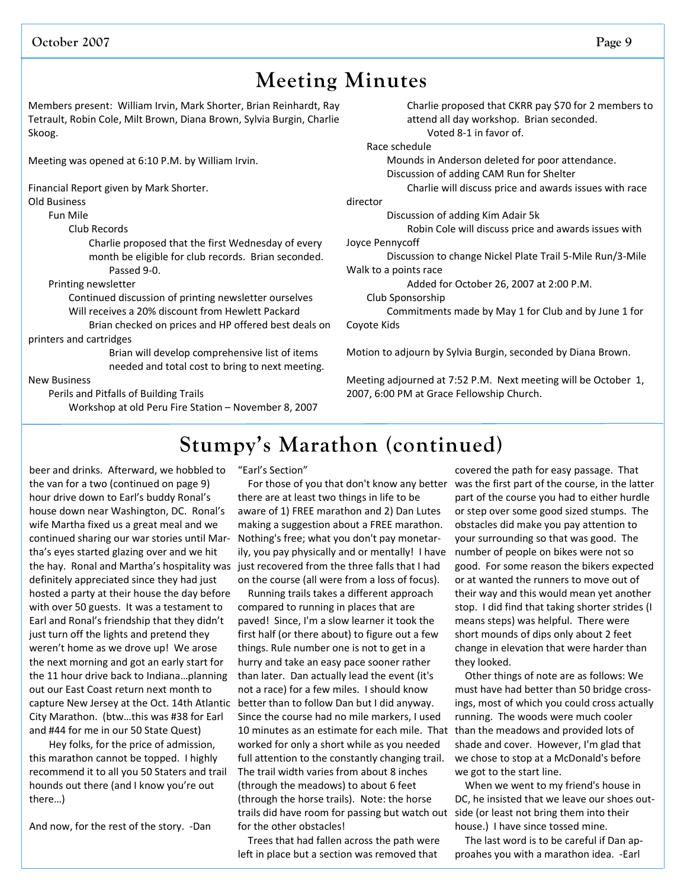### **Meeting Minutes**

Members present: William Irvin, Mark Shorter, Brian Reinhardt, Ray Tetrault, Robin Cole, Milt Brown, Diana Brown, Sylvia Burgin, Charlie Skoog.

Meeting was opened at 6:10 P.M. by William Irvin.

Financial Report given by Mark Shorter.

Old Business

Fun Mile

Club Records

Charlie proposed that the first Wednesday of every month be eligible for club records. Brian seconded. Passed 9‐0.

Printing newsletter

 Continued discussion of printing newsletter ourselves Will receives a 20% discount from Hewlett Packard

 Brian checked on prices and HP offered best deals on printers and cartridges

Brian will develop comprehensive list of items needed and total cost to bring to next meeting.

New Business

Perils and Pitfalls of Building Trails

Workshop at old Peru Fire Station – November 8, 2007

Charlie proposed that CKRR pay \$70 for 2 members to attend all day workshop. Brian seconded. Voted 8‐1 in favor of.

Race schedule

Mounds in Anderson deleted for poor attendance.

Discussion of adding CAM Run for Shelter

Charlie will discuss price and awards issues with race

director

Discussion of adding Kim Adair 5k

Robin Cole will discuss price and awards issues with

Joyce Pennycoff

 Discussion to change Nickel Plate Trail 5‐Mile Run/3‐Mile Walk to a points race

Added for October 26, 2007 at 2:00 P.M.

Club Sponsorship

 Commitments made by May 1 for Club and by June 1 for Coyote Kids

Motion to adjourn by Sylvia Burgin, seconded by Diana Brown.

Meeting adjourned at 7:52 P.M. Next meeting will be October 1, 2007, 6:00 PM at Grace Fellowship Church.

### **Stumpy's Marathon (continued)**

beer and drinks. Afterward, we hobbled to the van for a two (continued on page 9) hour drive down to Earl's buddy Ronal's house down near Washington, DC. Ronal's wife Martha fixed us a great meal and we continued sharing our war stories until Mar‐ tha's eyes started glazing over and we hit the hay. Ronal and Martha's hospitality was definitely appreciated since they had just hosted a party at their house the day before with over 50 guests. It was a testament to Earl and Ronal's friendship that they didn't just turn off the lights and pretend they weren't home as we drove up! We arose the next morning and got an early start for the 11 hour drive back to Indiana…planning out our East Coast return next month to capture New Jersey at the Oct. 14th Atlantic better than to follow Dan but I did anyway. City Marathon. (btw…this was #38 for Earl and #44 for me in our 50 State Quest)

Hey folks, for the price of admission, this marathon cannot be topped. I highly recommend it to all you 50 Staters and trail hounds out there (and I know you're out there…)

And now, for the rest of the story. ‐Dan

"Earl's Section"

For those of you that don't know any better there are at least two things in life to be aware of 1) FREE marathon and 2) Dan Lutes making a suggestion about a FREE marathon. Nothing's free; what you don't pay monetar‐ ily, you pay physically and or mentally! I have just recovered from the three falls that I had on the course (all were from a loss of focus).

10 minutes as an estimate for each mile. That than the meadows and provided lots of trails did have room for passing but watch out side (or least not bring them into their Running trails takes a different approach compared to running in places that are paved! Since, I'm a slow learner it took the first half (or there about) to figure out a few things. Rule number one is not to get in a hurry and take an easy pace sooner rather than later. Dan actually lead the event (it's not a race) for a few miles. I should know Since the course had no mile markers, I used worked for only a short while as you needed full attention to the constantly changing trail. The trail width varies from about 8 inches (through the meadows) to about 6 feet (through the horse trails). Note: the horse for the other obstacles!

Trees that had fallen across the path were left in place but a section was removed that

covered the path for easy passage. That was the first part of the course, in the latter part of the course you had to either hurdle or step over some good sized stumps. The obstacles did make you pay attention to your surrounding so that was good. The number of people on bikes were not so good. For some reason the bikers expected or at wanted the runners to move out of their way and this would mean yet another stop. I did find that taking shorter strides (I means steps) was helpful. There were short mounds of dips only about 2 feet change in elevation that were harder than they looked.

Other things of note are as follows: We must have had better than 50 bridge cross‐ ings, most of which you could cross actually running. The woods were much cooler shade and cover. However, I'm glad that we chose to stop at a McDonald's before we got to the start line.

When we went to my friend's house in DC, he insisted that we leave our shoes out‐ house.) I have since tossed mine.

The last word is to be careful if Dan ap‐ proahes you with a marathon idea. ‐Earl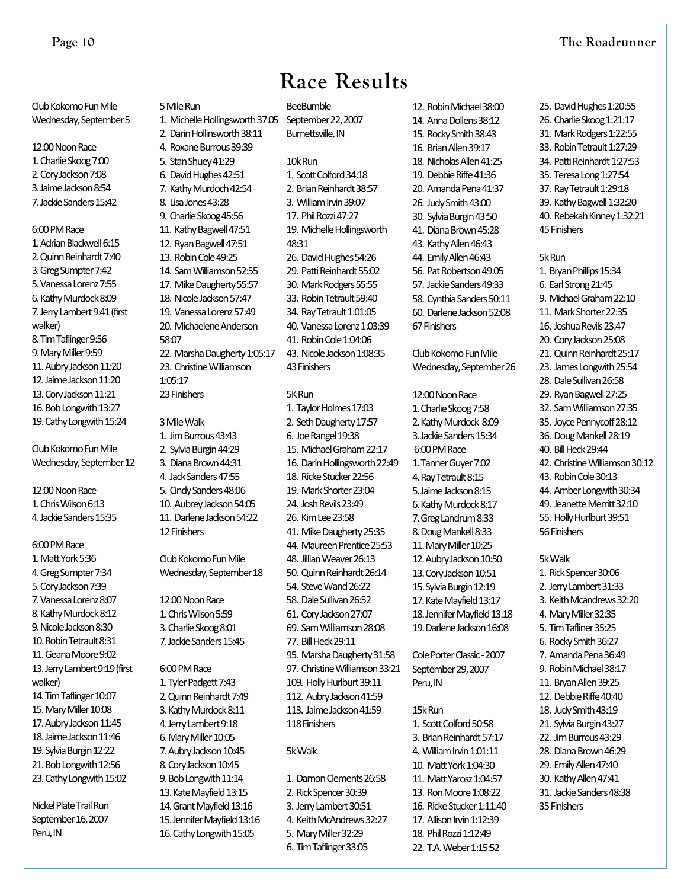### **Race Results**

Club Kokomo Fun Mile Wednesday, September 5

- 12:00 Noon Race 1.CharlieSkoog7:00 2.CoryJackson7:08 3. Jaime Jackson 8:54
- 7.JackieSanders15:42

#### 6:00PMRace

1. Adrian Blackwell 6:15 2. Quinn Reinhardt 7:40 3.GregSumpter7:42 5.VanessaLorenz7:55 6. Kathy Murdock 8:09 7. Jerry Lambert 9:41 (first walker) 8.TimTaflinger9:56 9. Mary Miller 9:59 11. Aubry Jackson 11:20 12. Jaime Jackson 11:20 13. Cory Jackson 11:21 16. Bob Longwith 13:27 19. Cathy Longwith 15:24

Club Kokomo Fun Mile Wednesday, September 12

12:00 Noon Race 1.ChrisWilson6:13 4. Jackie Sanders 15:35

#### 6:00PMRace

1.MattYork5:36 4. Greg Sumpter 7:34 5.CoryJackson7:39 7. Vanessa Lorenz 8:07 8. Kathy Murdock 8:12 9. Nicole Jackson 8:30 10.RobinTetrault8:31 11. Geana Moore 9:02 13. Jerry Lambert 9:19 (first walker) 14. Tim Taflinger 10:07 15. Mary Miller 10:08 17. Aubry Jackson 11:45 18. Jaime Jackson 11:46 19. Sylvia Burgin 12:22 21. Bob Longwith 12:56 23. Cathy Longwith 15:02

Nickel Plate Trail Run September 16, 2007 Peru, IN

2. Darin Hollinsworth 38:11 4. Roxane Burrous 39:39 5. Stan Shuey 41:29 6. David Hughes 42:51 7. Kathy Murdoch 42:54 8. Lisa Jones 43:28 9. Charlie Skoog 45:56 11. Kathy Bagwell 47:51 12. Ryan Bagwell 47:51 13. Robin Cole 49:25 14. Sam Williamson 52:55 17. Mike Daugherty 55:57 18. Nicole Jackson 57:47 19. VanessaLorenz57:49 20. Michaelene Anderson 58:07 22. Marsha Daugherty 1:05:17 23. Christine Williamson 1:05:17 23Finishers

5 Mile Run

3MileWalk

1. JimBurrous43:43 2. Sylvia Burgin 44:29 3. Diana Brown 44:31 4. Jack Sanders 47:55 5. Cindy Sanders 48:06 10. Aubrey Jackson 54:05 11. Darlene Jackson 54:22 12Finishers

Club Kokomo Fun Mile Wednesday, September 18

12:00 Noon Race 1.ChrisWilson5:59 3.CharlieSkoog8:01 7. Jackie Sanders 15:45

6:00PMRace 1. Tyler Padgett 7:43 2. Quinn Reinhardt 7:49 3. Kathy Murdock 8:11 4.JerryLambert9:18 6. Mary Miller 10:05 7. Aubry Jackson 10:45 8. Cory Jackson 10:45 9. Bob Longwith 11:14 13. Kate Mayfield 13:15 14. Grant Mavfield 13:16 15. Jennifer Mayfield 13:16 16. Cathy Longwith 15:05

**BeeBumble** September 22, 2007 Burnettsville, IN 1. Michelle Hollingsworth 37:05

> 10kRun 1. Scott Colford 34:18 2. Brian Reinhardt 38:57 3. William Irvin 39:07 17. Phil Rozzi 47:27 19. Michelle Hollingsworth 48:31 26. David Hughes 54:26 29. Patti Reinhardt 55:02 30. Mark Rodgers 55:55 33. Robin Tetrault 59:40 34. Ray Tetrault 1:01:05 40. Vanessa Lorenz 1:03:39 41. Robin Cole 1:04:06 43. Nicole Jackson 1:08:35 43Finishers

#### 5K<sub>Run</sub>

1. Taylor Holmes 17:03 2. Seth Daugherty 17:57 6. Joe Rangel 19:38 15. Michael Graham 22:17 16. Darin Hollingsworth 22:49 18. Ricke Stucker 22:56 19. MarkShorter23:04 24. Josh Revils 23:49 26. KimLee23:58 41. Mike Daugherty 25:35 44. Maureen Prentice 25:53 48. Iillian Weaver 26:13 50. Ouinn Reinhardt 26:14 54. Steve Wand 26:22 58. Dale Sullivan 26:52 61. CoryJackson27:07 69. SamWilliamson28:08 77. Bill Heck 29:11 95. Marsha Daugherty 31:58 97. Christine Williamson 33:21 109. Holly Hurlburt 39:11 112. Aubry Jackson 41:59 113. Jaime Jackson 41:59 118Finishers 5kWalk

1. Damon Clements 26:58 2. Rick Spencer 30:39 3. Jerry Lambert 30:51 4. Keith McAndrews 32:27 5. Mary Miller 32:29 6. TimTaflinger33:05

12. Robin Michael 38:00 14. AnnaDollens38:12 15. RockySmith38:43 16. Brian Allen 39:17 18. Nicholas Allen 41:25 19. DebbieRiffe41:36 20. Amanda Pena 41:37 26. Judy Smith 43:00 30. Sylvia Burgin 43:50 41. Diana Brown 45:28 43. Kathy Allen 46:43 44. Emily Allen 46:43 56. Pat Robertson 49:05 57. Jackie Sanders 49:33 58. Cynthia Sanders 50:11 60. DarleneJackson52:08 67Finishers

Club Kokomo Fun Mile Wednesday, September 26

12:00 Noon Race 1.CharlieSkoog7:58 2. Kathy Murdock 8:09 3. Jackie Sanders 15:34 6:00PMRace 1.TannerGuyer7:02 4. Ray Tetrault 8:15 5. Jaime Jackson 8:15 6. Kathy Murdock 8:17 7.GregLandrum8:33 8. Doug Mankell 8:33 11. Mary Miller 10:25 12. Aubry Jackson 10:50 13. Cory Jackson 10:51 15. Sylvia Burgin 12:19 17. Kate Mayfield 13:17 18. Jennifer Mavfield 13:18 19. Darlene Jackson 16:08

Cole Porter Classic - 2007 September 29, 2007 Peru, IN

#### 15kRun

1. Scott Colford 50:58 3. Brian Reinhardt 57:17 4. William Irvin 1:01:11 10. Matt York 1:04:30 11. Matt Yarosz 1:04:57 13. Ron Moore 1:08:22 16. Ricke Stucker 1:11:40 17. Allison Irvin 1:12:39 18. Phil Rozzi 1:12:49 22. T.A. Weber 1:15:52

25. David Hughes 1:20:55 26. Charlie Skoog 1:21:17 31. Mark Rodgers 1:22:55 33. Robin Tetrault 1:27:29 34. Patti Reinhardt 1:27:53 35. Teresa Long 1:27:54 37. Ray Tetrault 1:29:18 39. Kathy Bagwell 1:32:20 40. Rebekah Kinney 1:32:21 45Finishers

#### 5kRun

1. Bryan Phillips 15:34 6. EarlStrong21:45 9. MichaelGraham22:10 11. Mark Shorter 22:35 16. Joshua Revils 23:47 20. Cory Jackson 25:08 21. Quinn Reinhardt 25:17 23. James Longwith 25:54 28. Dale Sullivan 26:58 29. Ryan Bagwell 27:25 32. Sam Williamson 27:35 35. Joyce Pennycoff 28:12 36. Doug Mankell 28:19 40. BillHeck29:44 42. Christine Williamson 30:12 43. Robin Cole 30:13 44. Amber Longwith 30:34 49. Jeanette Merritt 32:10 55. Holly Hurlburt 39:51 56Finishers

#### 5kWalk

1. Rick Spencer 30:06 2. Jerry Lambert 31:33 3. Keith Mcandrews 32:20 4. Mary Miller 32:35 5. Tim Tafliner 35:25 6. Rocky Smith 36:27 7. Amanda Pena 36:49 9. Robin Michael 38:17 11. Bryan Allen 39:25 12. Debbie Riffe 40:40 18. Judy Smith 43:19 21. Sylvia Burgin 43:27 22. JimBurrous43:29 28. Diana Brown 46:29 29. Emily Allen 47:40 30. Kathy Allen 47:41 31. Jackie Sanders 48:38 35Finishers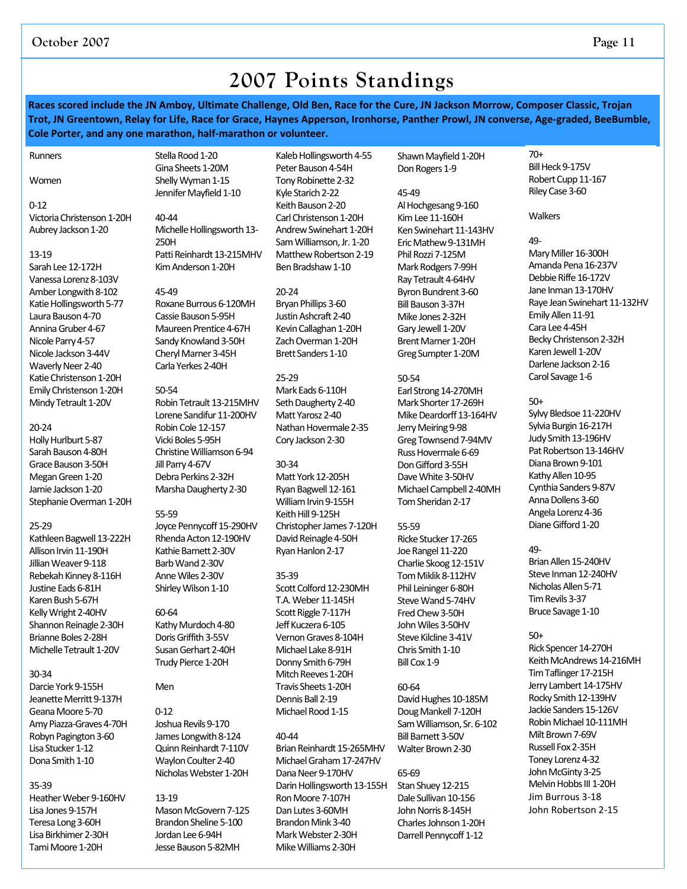### **2007 Points Standings**

Races scored include the JN Amboy, Ultimate Challenge, Old Ben, Race for the Cure, JN Jackson Morrow, Composer Classic, Trojan Trot, JN Greentown, Relay for Life, Race for Grace, Haynes Apperson, Ironhorse, Panther Prowl, JN converse, Age-graded, BeeBumble, **Cole Porter, and any one marathon, half‐marathon or volunteer.**

#### Runners

Women

#### 0‐12

Victoria Christenson 1-20H Aubrey Jackson 1-20

#### 13‐19

Sarah Lee 12-172H Vanessa Lorenz 8-103V Amber Longwith 8-102 Katie Hollingsworth 5-77 Laura Bauson 4-70 Annina Gruber 4-67 Nicole Parry 4-57 Nicole Jackson3‐44V Waverly Neer 2-40 Katie Christenson 1-20H Emily Christenson 1-20H Mindy Tetrault 1-20V

#### 20‐24

Holly Hurlburt 5-87 Sarah Bauson 4-80H Grace Bauson 3-50H Megan Green 1-20 Jamie Jackson 1-20 Stephanie Overman 1-20H

#### 25‐29

Kathleen Bagwell 13-222H Allison Irvin 11-190H Jillian Weaver 9-118 Rebekah Kinney 8-116H Justine Eads 6-81H Karen Bush 5-67H Kelly Wright 2-40HV Shannon Reinagle 2-30H Brianne Boles 2-28H Michelle Tetrault 1-20V

#### 30‐34

Darcie York 9-155H Jeanette Merritt 9-137H Geana Moore 5-70 Amy Piazza-Graves 4-70H Robyn Pagington 3-60 Lisa Stucker 1-12 Dona Smith 1-10

#### 35‐39

Heather Weber 9-160HV Lisa Jones 9‐157H Teresa Long3‐60H Lisa Birkhimer 2-30H Tami Moore 1-20H

Stella Rood 1-20 Gina Sheets 1-20M Shelly Wyman 1-15 Jennifer Mayfield 1-10

40‐44 Michelle Hollingsworth 13-250H Patti Reinhardt 13-215MHV Kim Anderson 1-20H

45‐49 Roxane Burrous 6-120MH Cassie Bauson 5-95H Maureen Prentice 4-67H Sandy Knowland 3-50H Cheryl Marner 3-45H Carla Yerkes 2‐40H

#### 50‐54

Robin Tetrault 13-215MHV Lorene Sandifur 11-200HV Robin Cole 12-157 Vicki Boles 5-95H Christine Williamson 6-94 Jill Parry 4-67V Debra Perkins 2-32H Marsha Daugherty 2-30

#### 55‐59

Joyce Pennycoff 15-290HV Rhenda Acton 12-190HV Kathie Barnett 2-30V Barb Wand 2-30V Anne Wiles 2-30V Shirley Wilson 1-10

#### 60‐64

Kathy Murdoch 4-80 Doris Griffith 3-55V Susan Gerhart 2-40H Trudy Pierce 1-20H

#### Men

#### 0‐12

Joshua Revils 9-170 James Longwith 8-124 Quinn Reinhardt 7-110V Waylon Coulter 2-40 Nicholas Webster 1-20H

#### 13‐19

Mason McGovern 7-125 Brandon Sheline 5-100 Jordan Lee 6-94H Jesse Bauson 5-82MH

Kaleb Hollingsworth 4-55 Peter Bauson 4-54H Tony Robinette 2-32 Kyle Starich 2-22 Keith Bauson 2-20 Carl Christenson 1-20H Andrew Swinehart 1-20H Sam Williamson, Jr. 1-20 Matthew Robertson 2-19 Ben Bradshaw 1-10

#### 20‐24

Bryan Phillips 3-60 Justin Ashcraft 2-40 Kevin Callaghan 1-20H Zach Overman 1-20H Brett Sanders 1-10

#### 25‐29

Mark Eads 6-110H Seth Daugherty 2-40 Matt Yarosz 2-40 Nathan Hovermale 2-35 Cory Jackson 2-30

#### 30‐34

Matt York12‐205H Ryan Bagwell 12-161 William Irvin 9-155H Keith Hill 9-125H Christopher James 7-120H David Reinagle 4-50H Ryan Hanlon 2-17

#### 35‐39

Scott Colford 12-230MH T.A.Weber 11‐145H Scott Riggle 7-117H Jeff Kuczera 6-105 VernonGraves 8‐104H Michael Lake 8-91H Donny Smith 6-79H Mitch Reeves 1-20H Travis Sheets 1-20H Dennis Ball 2-19 Michael Rood 1-15

#### 40‐44

Brian Reinhardt 15-265MHV MichaelGraham17‐247HV Dana Neer 9-170HV Darin Hollingsworth 13-155H Ron Moore 7-107H Dan Lutes 3-60MH Brandon Mink 3-40 Mark Webster 2-30H Mike Williams 2-30H

Shawn Mayfield 1-20H Don Rogers 1-9

#### 45‐49

Al Hochgesang 9-160 Kim Lee 11-160H Ken Swinehart 11-143HV EricMathew9‐131MH Phil Rozzi 7-125M Mark Rodgers 7-99H Ray Tetrault 4-64HV Byron Bundrent 3-60 Bill Bauson 3-37H Mike Jones 2-32H Gary Jewell 1-20V Brent Marner 1-20H Greg Sumpter 1-20M

#### 50‐54

Earl Strong14‐270MH Mark Shorter 17-269H Mike Deardorff 13-164HV Jerry Meiring 9-98 Greg Townsend 7-94MV Russ Hovermale 6-69 Don Gifford 3-55H Dave White 3-50HV Michael Campbell 2-40MH Tom Sheridan 2-17

#### 55‐59

Ricke Stucker 17-265 Joe Rangel 11-220 Charlie Skoog 12-151V Tom Miklik 8-112HV Phil Leininger 6-80H Steve Wand 5-74HV Fred Chew 3-50H John Wiles 3-50HV Steve Kilcline 3-41V Chris Smith 1-10 Bill Cox 1-9

#### 60‐64

David Hughes 10-185M Doug Mankell 7-120H Sam Williamson, Sr. 6-102 Bill Barnett 3-50V Walter Brown 2-30

#### 65‐69

Stan Shuey 12-215 Dale Sullivan 10-156 John Norris 8-145H Charles Johnson 1-20H Darrell Pennycoff 1-12

70+ Bill Heck 9-175V Robert Cupp 11-167 Riley Case 3-60

#### **Walkers**

49‐

Mary Miller 16-300H Amanda Pena 16-237V Debbie Riffe 16-172V Jane Inman 13-170HV Raye Jean Swinehart 11-132HV Emily Allen 11-91 Cara Lee 4-45H Becky Christenson 2-32H Karen Jewell 1-20V Darlene Jackson 2-16 Carol Savage 1-6

#### 50+

Sylvy Bledsoe 11-220HV Sylvia Burgin 16-217H Judy Smith 13-196HV Pat Robertson 13-146HV Diana Brown 9-101 Kathy Allen 10-95 Cynthia Sanders 9-87V Anna Dollens 3-60 Angela Lorenz 4-36 Diane Gifford 1-20

#### 49‐

Brian Allen 15-240HV Steve Inman 12-240HV Nicholas Allen 5-71 Tim Revils 3-37 Bruce Savage 1-10

#### 50+

Rick Spencer 14-270H Keith McAndrews 14-216MH Tim Taflinger 17-215H Jerry Lambert 14-175HV Rocky Smith 12-139HV Jackie Sanders 15-126V Robin Michael 10-111MH Milt Brown 7-69V Russell Fox2‐35H Toney Lorenz 4-32 John McGinty 3-25 Melvin Hobbs III 1-20H Jim Burrous 3‐18 John Robertson 2‐15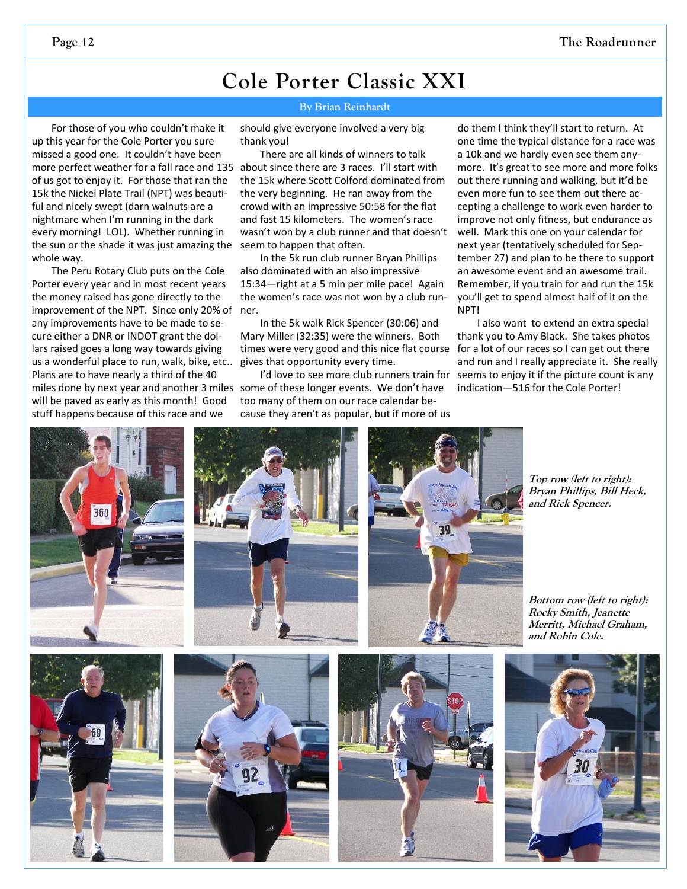### **Cole Porter Classic XXI**

#### **By Brian Reinhardt**

For those of you who couldn't make it up this year for the Cole Porter you sure missed a good one. It couldn't have been more perfect weather for a fall race and 135 about since there are 3 races. I'll start with of us got to enjoy it. For those that ran the 15k the Nickel Plate Trail (NPT) was beauti‐ ful and nicely swept (darn walnuts are a nightmare when I'm running in the dark every morning! LOL). Whether running in the sun or the shade it was just amazing the whole way.

The Peru Rotary Club puts on the Cole Porter every year and in most recent years the money raised has gone directly to the improvement of the NPT. Since only 20% of ner. any improvements have to be made to se‐ cure either a DNR or INDOT grant the dol‐ lars raised goes a long way towards giving us a wonderful place to run, walk, bike, etc.. Plans are to have nearly a third of the 40 will be paved as early as this month! Good stuff happens because of this race and we

should give everyone involved a very big thank you!

There are all kinds of winners to talk the 15k where Scott Colford dominated from the very beginning. He ran away from the crowd with an impressive 50:58 for the flat and fast 15 kilometers. The women's race wasn't won by a club runner and that doesn't seem to happen that often.

In the 5k run club runner Bryan Phillips also dominated with an also impressive 15:34—right at a 5 min per mile pace! Again the women's race was not won by a club run‐

In the 5k walk Rick Spencer (30:06) and Mary Miller (32:35) were the winners. Both times were very good and this nice flat course gives that opportunity every time.

miles done by next year and another 3 miles some of these longer events. We don't have I'd love to see more club runners train for too many of them on our race calendar be‐ cause they aren't as popular, but if more of us

do them I think they'll start to return. At one time the typical distance for a race was a 10k and we hardly even see them any‐ more. It's great to see more and more folks out there running and walking, but it'd be even more fun to see them out there ac‐ cepting a challenge to work even harder to improve not only fitness, but endurance as well. Mark this one on your calendar for next year (tentatively scheduled for Sep‐ tember 27) and plan to be there to support an awesome event and an awesome trail. Remember, if you train for and run the 15k you'll get to spend almost half of it on the NPT!

I also want to extend an extra special thank you to Amy Black. She takes photos for a lot of our races so I can get out there and run and I really appreciate it. She really seems to enjoy it if the picture count is any indication—516 for the Cole Porter!



**Top row (left to right): Bryan Phillips, Bill Heck, and Rick Spencer.** 

**Bottom row (left to right): Rocky Smith, Jeanette Merritt, Michael Graham, and Robin Cole.**